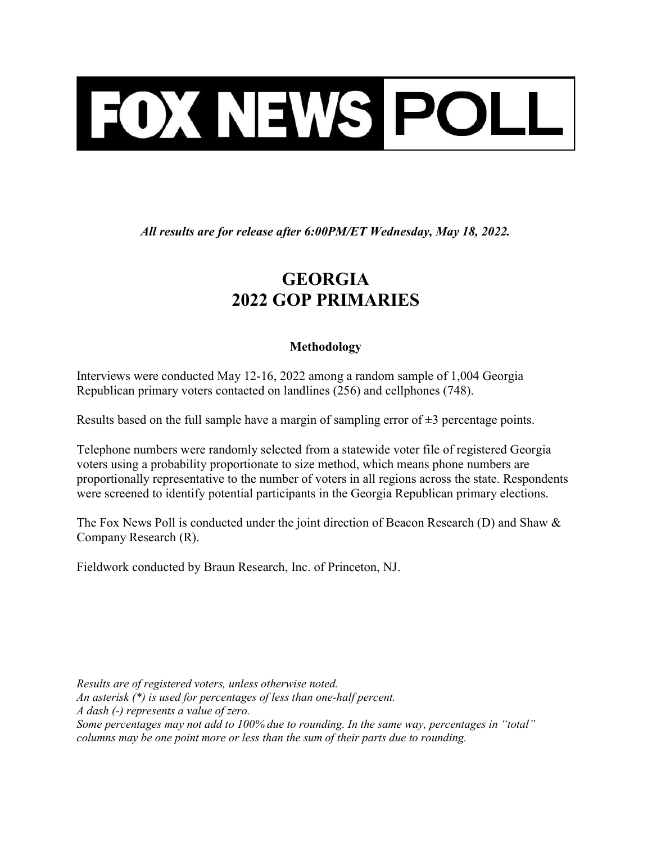

All results are for release after 6:00PM/ET Wednesday, May 18, 2022.

## GEORGIA 2022 GOP PRIMARIES

## Methodology

Interviews were conducted May 12-16, 2022 among a random sample of 1,004 Georgia Republican primary voters contacted on landlines (256) and cellphones (748).

Results based on the full sample have a margin of sampling error of  $\pm 3$  percentage points.

Telephone numbers were randomly selected from a statewide voter file of registered Georgia voters using a probability proportionate to size method, which means phone numbers are proportionally representative to the number of voters in all regions across the state. Respondents were screened to identify potential participants in the Georgia Republican primary elections.

The Fox News Poll is conducted under the joint direction of Beacon Research (D) and Shaw & Company Research (R).

Fieldwork conducted by Braun Research, Inc. of Princeton, NJ.

Results are of registered voters, unless otherwise noted. An asterisk (\*) is used for percentages of less than one-half percent. A dash (-) represents a value of zero. Some percentages may not add to 100% due to rounding. In the same way, percentages in "total" columns may be one point more or less than the sum of their parts due to rounding.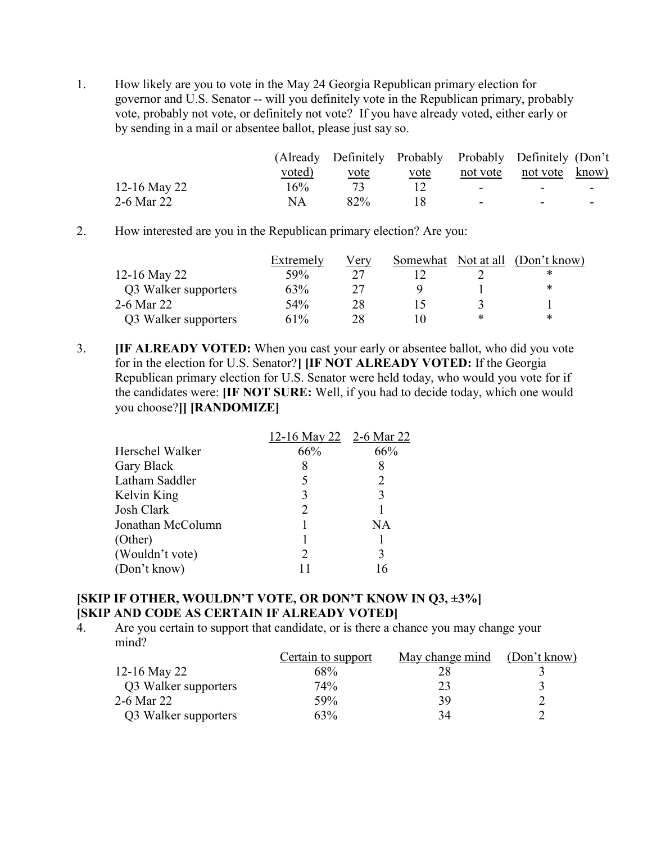1. How likely are you to vote in the May 24 Georgia Republican primary election for governor and U.S. Senator -- will you definitely vote in the Republican primary, probably vote, probably not vote, or definitely not vote? If you have already voted, either early or by sending in a mail or absentee ballot, please just say so.

|              |        | (Already Definitely Probably Probably Definitely (Don't |             |        |                          |  |
|--------------|--------|---------------------------------------------------------|-------------|--------|--------------------------|--|
|              | voted) | vote                                                    | <u>vote</u> |        | not vote not vote know)  |  |
| 12-16 May 22 | 16%    |                                                         |             | $\sim$ | $\overline{\phantom{0}}$ |  |
| 2-6 Mar 22   | ΝA     | 82%                                                     |             | -      | $\overline{\phantom{0}}$ |  |

2. How interested are you in the Republican primary election? Are you:

|                      | Extremely | Verv | Somewhat |   | Not at all (Don't know) |
|----------------------|-----------|------|----------|---|-------------------------|
| 12-16 May 22         | 59%       |      |          |   | ∗                       |
| Q3 Walker supporters | 63%       |      |          |   | ж                       |
| 2-6 Mar 22           | 54%       | 28   |          |   |                         |
| Q3 Walker supporters | 61%       | 28   |          | * | *                       |

3. **IF ALREADY VOTED:** When you cast your early or absentee ballot, who did you vote for in the election for U.S. Senator?] [IF NOT ALREADY VOTED: If the Georgia Republican primary election for U.S. Senator were held today, who would you vote for if the candidates were: [IF NOT SURE: Well, if you had to decide today, which one would you choose?]] [RANDOMIZE]

|                   | 12-16 May 22 2-6 Mar 22 |     |
|-------------------|-------------------------|-----|
| Herschel Walker   | 66%                     | 66% |
| Gary Black        | 8                       | 8   |
| Latham Saddler    | 5                       |     |
| Kelvin King       | 3                       | 3   |
| Josh Clark        | 2                       |     |
| Jonathan McColumn |                         | NΑ  |
| (Other)           |                         |     |
| (Wouldn't vote)   | 2                       | 3   |
| (Don't know)      |                         | 16  |

## [SKIP IF OTHER, WOULDN'T VOTE, OR DON'T KNOW IN Q3, ±3%] [SKIP AND CODE AS CERTAIN IF ALREADY VOTED]

4. Are you certain to support that candidate, or is there a chance you may change your mind?

|                      | Certain to support | May change mind | (Don't know) |
|----------------------|--------------------|-----------------|--------------|
| 12-16 May 22         | 68%                |                 |              |
| Q3 Walker supporters | 74%                | 23              |              |
| 2-6 Mar 22           | 59%                | 39              |              |
| Q3 Walker supporters | 63%                | 34              |              |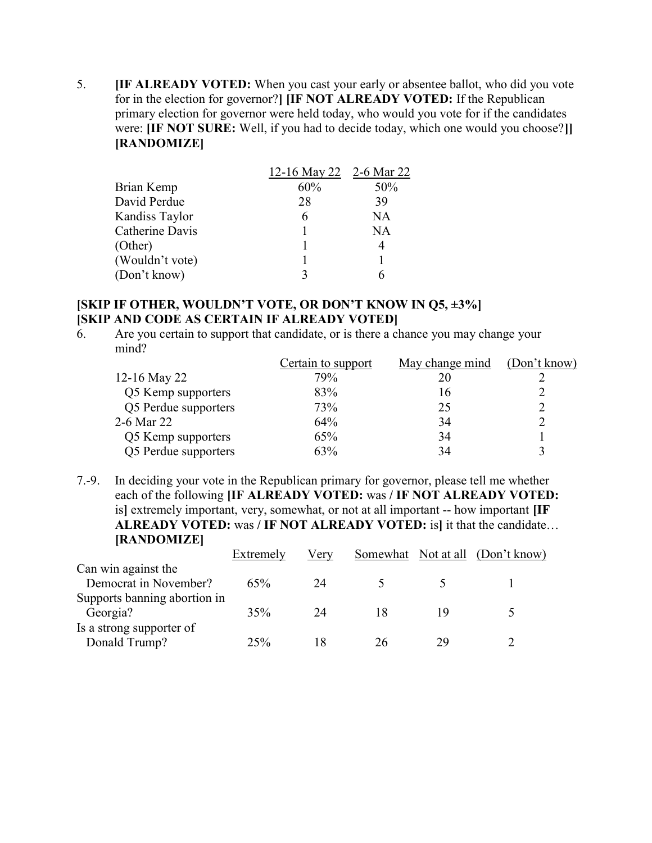5. [IF ALREADY VOTED: When you cast your early or absentee ballot, who did you vote for in the election for governor?] [IF NOT ALREADY VOTED: If the Republican primary election for governor were held today, who would you vote for if the candidates were: [IF NOT SURE: Well, if you had to decide today, which one would you choose?]] [RANDOMIZE]

|                 | 12-16 May 22 2-6 Mar 22 |     |
|-----------------|-------------------------|-----|
| Brian Kemp      | 60%                     | 50% |
| David Perdue    | 28                      | 39  |
| Kandiss Taylor  | 6                       | NA  |
| Catherine Davis |                         | NA  |
| (Other)         |                         | 4   |
| (Wouldn't vote) |                         |     |
| (Don't know)    |                         |     |

## [SKIP IF OTHER, WOULDN'T VOTE, OR DON'T KNOW IN Q5, ±3%] [SKIP AND CODE AS CERTAIN IF ALREADY VOTED]

6. Are you certain to support that candidate, or is there a chance you may change your mind?

|                      | Certain to support | May change mind | (Don't know) |
|----------------------|--------------------|-----------------|--------------|
| 12-16 May 22         | 79%                |                 |              |
| Q5 Kemp supporters   | 83%                |                 |              |
| Q5 Perdue supporters | 73%                | 25              |              |
| 2-6 Mar 22           | 64%                | 34              |              |
| Q5 Kemp supporters   | 65%                | 34              |              |
| Q5 Perdue supporters | 63%                | 34              |              |
|                      |                    |                 |              |

7.-9. In deciding your vote in the Republican primary for governor, please tell me whether each of the following [IF ALREADY VOTED: was / IF NOT ALREADY VOTED: is] extremely important, very, somewhat, or not at all important -- how important [IF ALREADY VOTED: was / IF NOT ALREADY VOTED: is] it that the candidate… [RANDOMIZE]

|                              | Extremely | Very |    |    | Somewhat Not at all (Don't know) |
|------------------------------|-----------|------|----|----|----------------------------------|
| Can win against the          |           |      |    |    |                                  |
| Democrat in November?        | 65%       | 24   |    |    |                                  |
| Supports banning abortion in |           |      |    |    |                                  |
| Georgia?                     | 35%       | 24   |    |    |                                  |
| Is a strong supporter of     |           |      |    |    |                                  |
| Donald Trump?                | 25%       |      | 26 | 29 |                                  |
|                              |           |      |    |    |                                  |